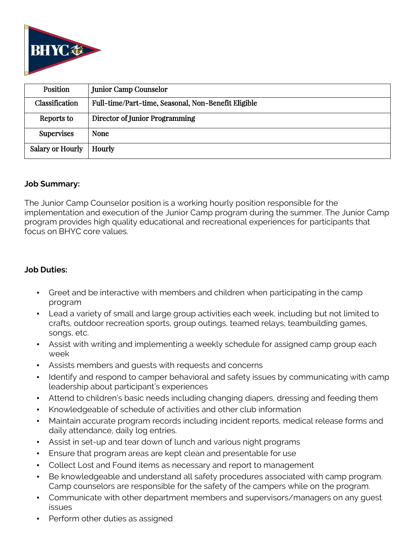

| Position                | Junior Camp Counselor                               |
|-------------------------|-----------------------------------------------------|
| Classification          | Full-time/Part-time, Seasonal, Non-Benefit Eligible |
| Reports to              | Director of Junior Programming                      |
| <b>Supervises</b>       | <b>None</b>                                         |
| <b>Salary or Hourly</b> | Hourly                                              |

### **Job Summary:**

The Junior Camp Counselor position is a working hourly position responsible for the implementation and execution of the Junior Camp program during the summer. The Junior Camp program provides high quality educational and recreational experiences for participants that focus on BHYC core values.

### **Job Duties:**

- Greet and be interactive with members and children when participating in the camp program
- Lead a variety of small and large group activities each week, including but not limited to crafts, outdoor recreation sports, group outings, teamed relays, teambuilding games, songs, etc.
- Assist with writing and implementing a weekly schedule for assigned camp group each week
- Assists members and guests with requests and concerns
- Identify and respond to camper behavioral and safety issues by communicating with camp leadership about participant's experiences
- Attend to children's basic needs including changing diapers, dressing and feeding them
- Knowledgeable of schedule of activities and other club information
- Maintain accurate program records including incident reports, medical release forms and daily attendance, daily log entries.
- Assist in set-up and tear down of lunch and various night programs
- Ensure that program areas are kept clean and presentable for use
- Collect Lost and Found items as necessary and report to management
- Be knowledgeable and understand all safety procedures associated with camp program. Camp counselors are responsible for the safety of the campers while on the program.
- Communicate with other department members and supervisors/managers on any guest issues
- Perform other duties as assigned